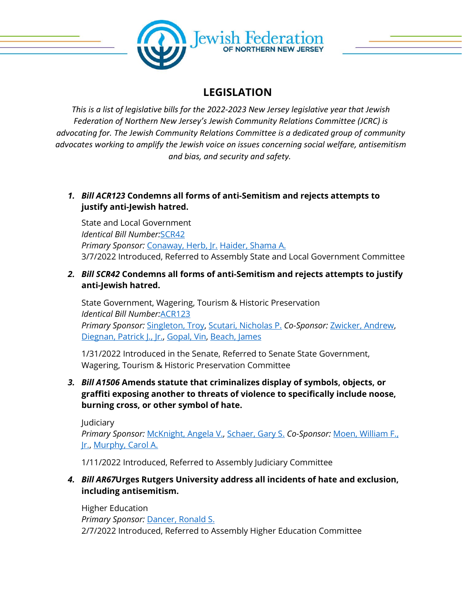

## **LEGISLATION**

*This is a list of legislative bills for the 2022-2023 New Jersey legislative year that Jewish Federation of Northern New Jersey's Jewish Community Relations Committee (JCRC) is advocating for. The Jewish Community Relations Committee is a dedicated group of community advocates working to amplify the Jewish voice on issues concerning social welfare, antisemitism and bias, and security and safety.*

*1. Bill ACR123* **Condemns all forms of anti-Semitism and rejects attempts to justify anti-Jewish hatred.**

State and Local Government *Identical Bill Number:*[SCR42](https://www.njleg.state.nj.us/bill-search/2022/SCR42) *Primary Sponsor:* [Conaway, Herb, Jr.](https://www.njleg.state.nj.us/legislative-roster/186/assemblyman-conaway) [Haider, Shama A.](https://www.njleg.state.nj.us/legislative-roster/452/assemblywoman-haider) 3/7/2022 Introduced, Referred to Assembly State and Local Government Committee

*2. Bill SCR42* **Condemns all forms of anti-Semitism and rejects attempts to justify anti-Jewish hatred.**

State Government, Wagering, Tourism & Historic Preservation *Identical Bill Number:*[ACR123](https://www.njleg.state.nj.us/bill-search/2022/ACR123) *Primary Sponsor:* [Singleton, Troy,](https://www.njleg.state.nj.us/legislative-roster/395/senator-singleton) [Scutari, Nicholas P.](https://www.njleg.state.nj.us/legislative-roster/237/senator-scutari) *Co-Sponsor:* [Zwicker, Andrew,](https://www.njleg.state.nj.us/legislative-roster/436/senator-zwicker) [Diegnan, Patrick J., Jr.,](https://www.njleg.state.nj.us/legislative-roster/387/senator-diegnan) [Gopal, Vin,](https://www.njleg.state.nj.us/legislative-roster/405/senator-gopal) [Beach, James](https://www.njleg.state.nj.us/legislative-roster/310/senator-beach)

1/31/2022 Introduced in the Senate, Referred to Senate State Government, Wagering, Tourism & Historic Preservation Committee

*3. Bill A1506* **Amends statute that criminalizes display of symbols, objects, or graffiti exposing another to threats of violence to specifically include noose, burning cross, or other symbol of hate.**

Judiciary *Primary Sponsor:* [McKnight, Angela V.,](https://www.njleg.state.nj.us/legislative-roster/383/assemblywoman-mcknight) [Schaer, Gary S.](https://www.njleg.state.nj.us/legislative-roster/258/assemblyman-schaer) *Co-Sponsor:* [Moen, William F.,](https://www.njleg.state.nj.us/legislative-roster/420/assemblyman-moen)  [Jr.,](https://www.njleg.state.nj.us/legislative-roster/420/assemblyman-moen) [Murphy, Carol A.](https://www.njleg.state.nj.us/legislative-roster/397/assemblywoman-murphy)

1/11/2022 Introduced, Referred to Assembly Judiciary Committee

*4. Bill AR67***Urges Rutgers University address all incidents of hate and exclusion, including antisemitism.**

Higher Education *Primary Sponsor:* [Dancer, Ronald S.](https://www.njleg.state.nj.us/legislative-roster/352/assemblyman-dancer) 2/7/2022 Introduced, Referred to Assembly Higher Education Committee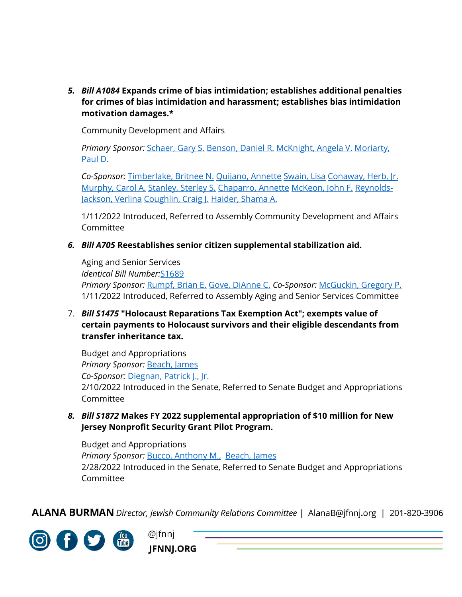*5. Bill A1084* **Expands crime of bias intimidation; establishes additional penalties for crimes of bias intimidation and harassment; establishes bias intimidation motivation damages.\***

Community Development and Affairs

*Primary Sponsor:* [Schaer, Gary S.](https://www.njleg.state.nj.us/legislative-roster/258/assemblyman-schaer) [Benson, Daniel R.](https://www.njleg.state.nj.us/legislative-roster/332/assemblyman-benson) [McKnight, Angela V.](https://www.njleg.state.nj.us/legislative-roster/383/assemblywoman-mcknight) [Moriarty,](https://www.njleg.state.nj.us/legislative-roster/250/assemblyman-moriarty)  [Paul D.](https://www.njleg.state.nj.us/legislative-roster/250/assemblyman-moriarty)

*Co-Sponsor:* [Timberlake, Britnee N.](https://www.njleg.state.nj.us/legislative-roster/407/assemblywoman-timberlake) [Quijano, Annette](https://www.njleg.state.nj.us/legislative-roster/309/assemblywoman-quijano) [Swain, Lisa](https://www.njleg.state.nj.us/legislative-roster/413/assemblywoman-swain) [Conaway, Herb, Jr.](https://www.njleg.state.nj.us/legislative-roster/186/assemblyman-conaway) [Murphy, Carol A.](https://www.njleg.state.nj.us/legislative-roster/397/assemblywoman-murphy) [Stanley, Sterley S.](https://www.njleg.state.nj.us/legislative-roster/429/assemblyman-stanley) [Chaparro, Annette](https://www.njleg.state.nj.us/legislative-roster/385/assemblywoman-chaparro) [McKeon, John F.](https://www.njleg.state.nj.us/legislative-roster/207/assemblyman-mckeon) [Reynolds-](https://www.njleg.state.nj.us/legislative-roster/409/assemblywoman-reynolds-jackson)[Jackson, Verlina](https://www.njleg.state.nj.us/legislative-roster/409/assemblywoman-reynolds-jackson) [Coughlin, Craig J.](https://www.njleg.state.nj.us/legislative-roster/319/assemblyman-coughlin) [Haider, Shama A.](https://www.njleg.state.nj.us/legislative-roster/452/assemblywoman-haider)

1/11/2022 Introduced, Referred to Assembly Community Development and Affairs Committee

*6. Bill A705* **Reestablishes senior citizen supplemental stabilization aid.**

Aging and Senior Services *Identical Bill Number:*[S1689](https://www.njleg.state.nj.us/bill-search/2022/S1689) *Primary Sponsor:* [Rumpf, Brian E.](https://www.njleg.state.nj.us/legislative-roster/228/assemblyman-rumpf) [Gove, DiAnne C.](https://www.njleg.state.nj.us/legislative-roster/318/assemblywoman-gove) *Co-Sponsor:* [McGuckin, Gregory P.](https://www.njleg.state.nj.us/legislative-roster/341/assemblyman-mcguckin) 1/11/2022 Introduced, Referred to Assembly Aging and Senior Services Committee

7. *Bill S1475* **"Holocaust Reparations Tax Exemption Act"; exempts value of certain payments to Holocaust survivors and their eligible descendants from transfer inheritance tax.**

Budget and Appropriations *Primary Sponsor:* [Beach, James](https://www.njleg.state.nj.us/legislative-roster/310/senator-beach) *Co-Sponsor:* [Diegnan, Patrick J., Jr.](https://www.njleg.state.nj.us/legislative-roster/387/senator-diegnan) 2/10/2022 Introduced in the Senate, Referred to Senate Budget and Appropriations Committee

*8. Bill S1872* **Makes FY 2022 supplemental appropriation of \$10 million for New Jersey Nonprofit Security Grant Pilot Program.**

Budget and Appropriations *Primary Sponsor:* [Bucco, Anthony M.,](https://www.njleg.state.nj.us/legislative-roster/419/senator-bucco) [Beach, James](https://www.njleg.state.nj.us/legislative-roster/310/senator-beach) 2/28/2022 Introduced in the Senate, Referred to Senate Budget and Appropriations Committee

**ALANA BURMAN** Director, Jewish Community Relations Committee | AlanaB@jfnnj.org | 201-820-3906



@jfnnj **JFNNJ.ORG**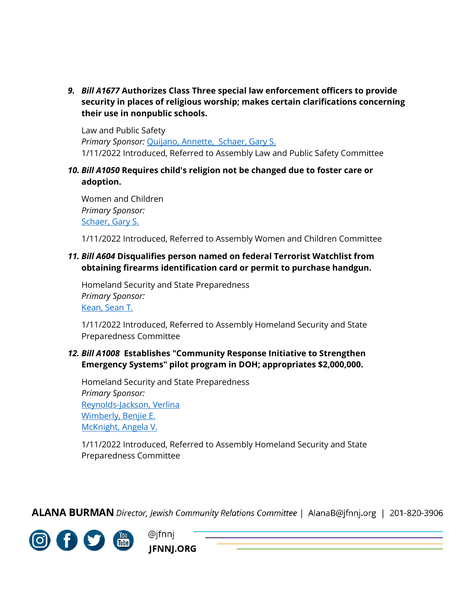*9. Bill A1677* **Authorizes Class Three special law enforcement officers to provide security in places of religious worship; makes certain clarifications concerning their use in nonpublic schools.**

Law and Public Safety *Primary Sponsor:* [Quijano, Annette,](https://www.njleg.state.nj.us/legislative-roster/309/assemblywoman-quijano) [Schaer, Gary S.](https://www.njleg.state.nj.us/legislative-roster/258/assemblyman-schaer) 1/11/2022 Introduced, Referred to Assembly Law and Public Safety Committee

*10. Bill A1050* **Requires child's religion not be changed due to foster care or adoption.**

Women and Children *Primary Sponsor:* [Schaer, Gary S.](https://www.njleg.state.nj.us/legislative-roster/258/assemblyman-schaer)

1/11/2022 Introduced, Referred to Assembly Women and Children Committee

## *11. Bill A604* **Disqualifies person named on federal Terrorist Watchlist from obtaining firearms identification card or permit to purchase handgun.**

Homeland Security and State Preparedness *Primary Sponsor:* [Kean, Sean T.](https://www.njleg.state.nj.us/legislative-roster/333/assemblyman-kean)

1/11/2022 Introduced, Referred to Assembly Homeland Security and State Preparedness Committee

## *12. Bill A1008* **Establishes "Community Response Initiative to Strengthen Emergency Systems" pilot program in DOH; appropriates \$2,000,000.**

Homeland Security and State Preparedness *Primary Sponsor:* [Reynolds-Jackson, Verlina](https://www.njleg.state.nj.us/legislative-roster/409/assemblywoman-reynolds-jackson) [Wimberly, Benjie E.](https://www.njleg.state.nj.us/legislative-roster/347/assemblyman-wimberly) [McKnight, Angela V.](https://www.njleg.state.nj.us/legislative-roster/383/assemblywoman-mcknight)

1/11/2022 Introduced, Referred to Assembly Homeland Security and State Preparedness Committee

**ALANA BURMAN** Director, Jewish Community Relations Committee | AlanaB@jfnnj.org | 201-820-3906



@jfnnj JFNNJ.ORG